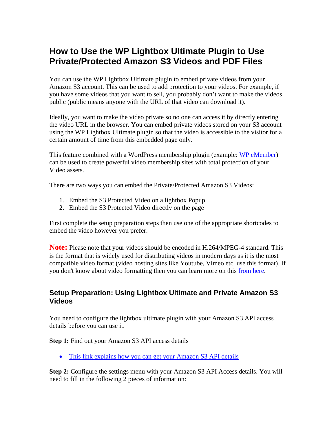# **How to Use the WP Lightbox Ultimate Plugin to Use Private/Protected Amazon S3 Videos and PDF Files**

You can use the WP Lightbox Ultimate plugin to embed private videos from your Amazon S3 account. This can be used to add protection to your videos. For example, if you have some videos that you want to sell, you probably don't want to make the videos public (public means anyone with the URL of that video can download it).

Ideally, you want to make the video private so no one can access it by directly entering the video URL in the browser. You can embed private videos stored on your S3 account using the WP Lightbox Ultimate plugin so that the video is accessible to the visitor for a certain amount of time from this embedded page only.

This feature combined with a WordPress membership plugin (example: [WP eMember\)](http://www.tipsandtricks-hq.com/?p=1706) can be used to create powerful video membership sites with total protection of your Video assets.

There are two ways you can embed the Private/Protected Amazon S3 Videos:

- 1. Embed the S3 Protected Video on a lightbox Popup
- 2. Embed the S3 Protected Video directly on the page

First complete the setup preparation steps then use one of the appropriate shortcodes to embed the video however you prefer.

**Note:** Please note that your videos should be encoded in H.264/MPEG-4 standard. This is the format that is widely used for distributing videos in modern days as it is the most compatible video format (video hosting sites like Youtube, Vimeo etc. use this format). If you don't know about video formatting then you can learn more on this from [here.](http://en.wikipedia.org/wiki/H.264/MPEG-4_AVC)

### **Setup Preparation: Using Lightbox Ultimate and Private Amazon S3 Videos**

You need to configure the lightbox ultimate plugin with your Amazon S3 API access details before you can use it.

#### **Step 1:** Find out your Amazon S3 API access details

• [This link explains how you can get your Amazon S3 API details](http://s3.amazonaws.com/mturk/tools/pages/aws-access-identifiers/aws-identifier.html)

**Step 2:** Configure the settings menu with your Amazon S3 API Access details. You will need to fill in the following 2 pieces of information: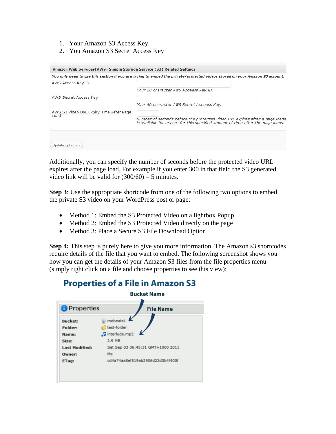- 1. Your Amazon S3 Access Key
- 2. You Amazon S3 Secret Access Key

| Amazon Web Services (AWS) Simple Storage Service (S3) Related Settings |                                                                                                                                                                |
|------------------------------------------------------------------------|----------------------------------------------------------------------------------------------------------------------------------------------------------------|
|                                                                        | You only need to use this section if you are trying to embed the private/protected videos stored on your Amazon S3 account.                                    |
| AWS Access Key ID                                                      |                                                                                                                                                                |
|                                                                        | Your 20 character AWS Acceess Key ID.                                                                                                                          |
| AWS Secret Access Key                                                  |                                                                                                                                                                |
|                                                                        | Your 40 character AWS Secret Acceess Key.                                                                                                                      |
| AWS S3 Video URL Expiry Time After Page                                |                                                                                                                                                                |
| Load                                                                   | Number of seconds before the protected video URL expires after a page loads<br>is available for access for this specified amount of time after the page loads. |
|                                                                        |                                                                                                                                                                |
|                                                                        |                                                                                                                                                                |
| Update options »                                                       |                                                                                                                                                                |

Additionally, you can specify the number of seconds before the protected video URL expires after the page load. For example if you enter 300 in that field the S3 generated video link will be valid for  $(300/60) = 5$  minutes.

**Step 3**: Use the appropriate shortcode from one of the following two options to embed the private S3 video on your WordPress post or page:

- Method 1: Embed the S3 Protected Video on a lightbox Popup
- Method 2: Embed the S3 Protected Video directly on the page
- Method 3: Place a Secure S3 File Download Option

**Step 4:** This step is purely here to give you more information. The Amazon s3 shortcodes require details of the file that you want to embed. The following screenshot shows you how you can get the details of your Amazon S3 files from the file properties menu (simply right click on a file and choose properties to see this view):



# **Properties of a File in Amazon S3**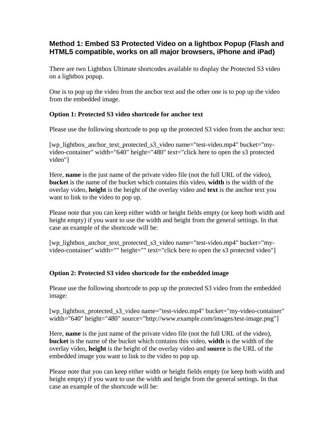### **Method 1: Embed S3 Protected Video on a lightbox Popup (Flash and HTML5 compatible, works on all major browsers, iPhone and iPad)**

There are two Lightbox Ultimate shortcodes available to display the Protected S3 video on a lightbox popup.

One is to pop up the video from the anchor text and the other one is to pop up the video from the embedded image.

### **Option 1: Protected S3 video shortcode for anchor text**

Please use the following shortcode to pop up the protected S3 video from the anchor text:

[wp\_lightbox\_anchor\_text\_protected\_s3\_video name="test-video.mp4" bucket="myvideo-container" width="640" height="480" text="click here to open the s3 protected video"]

Here, **name** is the just name of the private video file (not the full URL of the video), **bucket** is the name of the bucket which contains this video, **width** is the width of the overlay video, **height** is the height of the overlay video and **text** is the anchor text you want to link to the video to pop up.

Please note that you can keep either width or height fields empty (or keep both width and height empty) if you want to use the width and height from the general settings. In that case an example of the shortcode will be:

[wp\_lightbox\_anchor\_text\_protected\_s3\_video name="test-video.mp4" bucket="myvideo-container" width="" height="" text="click here to open the s3 protected video"]

### **Option 2: Protected S3 video shortcode for the embedded image**

Please use the following shortcode to pop up the protected S3 video from the embedded image:

[wp\_lightbox\_protected\_s3\_video name="test-video.mp4" bucket="my-video-container" width="640" height="480" source="http://www.example.com/images/test-image.png"]

Here, **name** is the just name of the private video file (not the full URL of the video), **bucket** is the name of the bucket which contains this video, **width** is the width of the overlay video, **height** is the height of the overlay video and **source** is the URL of the embedded image you want to link to the video to pop up.

Please note that you can keep either width or height fields empty (or keep both width and height empty) if you want to use the width and height from the general settings. In that case an example of the shortcode will be: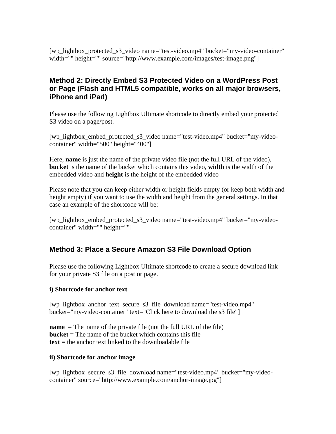[wp\_lightbox\_protected\_s3\_video name="test-video.mp4" bucket="my-video-container" width="" height="" source="http://www.example.com/images/test-image.png"]

### **Method 2: Directly Embed S3 Protected Video on a WordPress Post or Page (Flash and HTML5 compatible, works on all major browsers, iPhone and iPad)**

Please use the following Lightbox Ultimate shortcode to directly embed your protected S3 video on a page/post.

[wp\_lightbox\_embed\_protected\_s3\_video name="test-video.mp4" bucket="my-videocontainer" width="500" height="400"]

Here, **name** is just the name of the private video file (not the full URL of the video), **bucket** is the name of the bucket which contains this video, **width** is the width of the embedded video and **height** is the height of the embedded video

Please note that you can keep either width or height fields empty (or keep both width and height empty) if you want to use the width and height from the general settings. In that case an example of the shortcode will be:

[wp\_lightbox\_embed\_protected\_s3\_video name="test-video.mp4" bucket="my-videocontainer" width="" height=""]

## **Method 3: Place a Secure Amazon S3 File Download Option**

Please use the following Lightbox Ultimate shortcode to create a secure download link for your private S3 file on a post or page.

### **i) Shortcode for anchor text**

[wp\_lightbox\_anchor\_text\_secure\_s3\_file\_download name="test-video.mp4" bucket="my-video-container" text="Click here to download the s3 file"]

**name** = The name of the private file (not the full URL of the file) **bucket** = The name of the bucket which contains this file **text** = the anchor text linked to the downloadable file

### **ii) Shortcode for anchor image**

[wp\_lightbox\_secure\_s3\_file\_download name="test-video.mp4" bucket="my-videocontainer" source="http://www.example.com/anchor-image.jpg"]